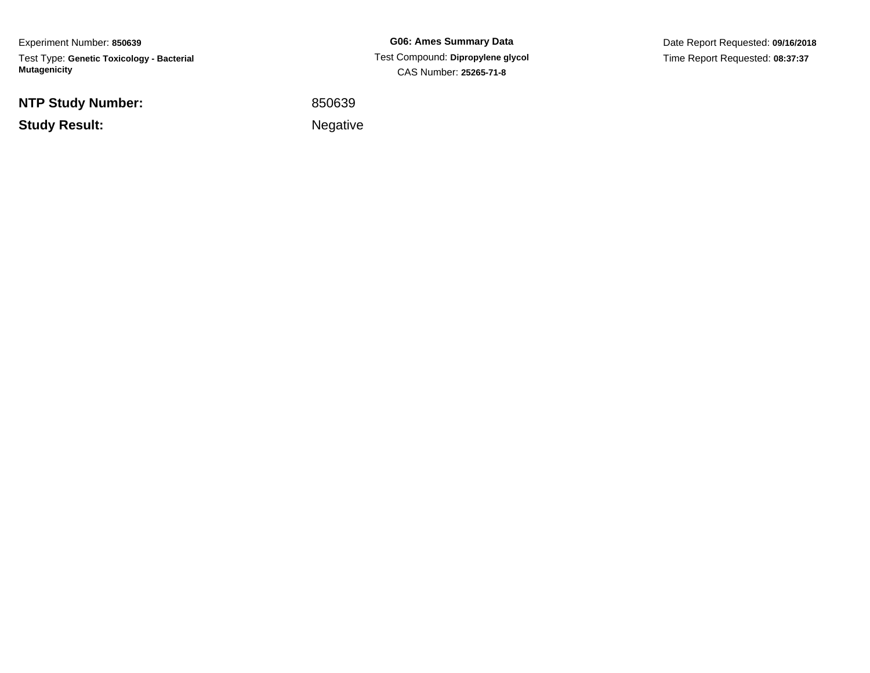Experiment Number: **850639**Test Type: **Genetic Toxicology - Bacterial Mutagenicity**

**NTP Study Number:**

**Study Result:**

**G06: Ames Summary Data** Test Compound: **Dipropylene glycol**CAS Number: **25265-71-8**

Date Report Requested: **09/16/2018**Time Report Requested: **08:37:37**

<sup>850639</sup>

Negative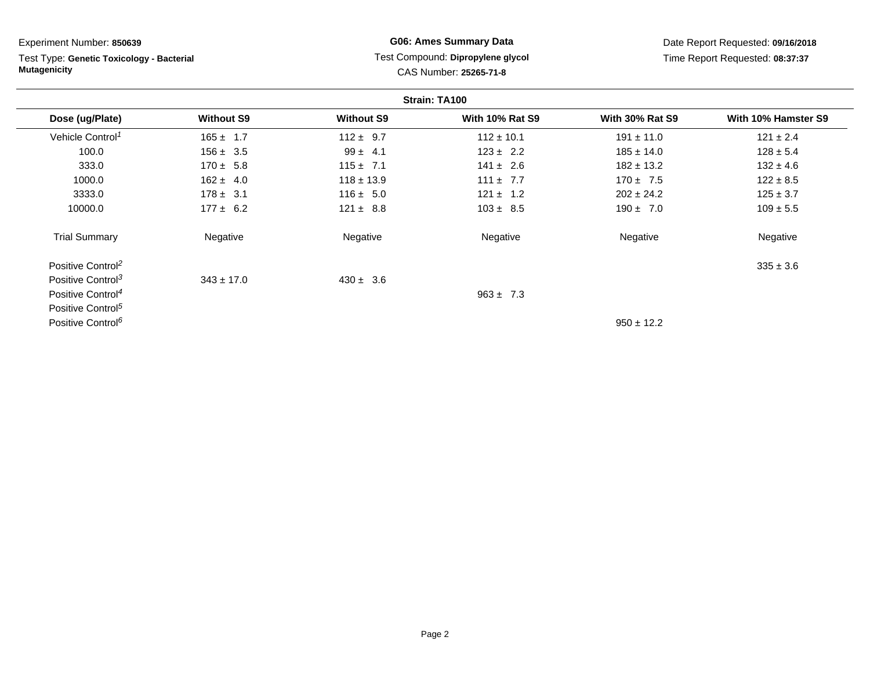| Experiment Number: 850639                                        |                   | <b>G06: Ames Summary Data</b> |                                                             | Date Report Requested: 09/16/2018 |                                 |
|------------------------------------------------------------------|-------------------|-------------------------------|-------------------------------------------------------------|-----------------------------------|---------------------------------|
| Test Type: Genetic Toxicology - Bacterial<br><b>Mutagenicity</b> |                   |                               | Test Compound: Dipropylene glycol<br>CAS Number: 25265-71-8 |                                   | Time Report Requested: 08:37:37 |
|                                                                  |                   |                               | Strain: TA100                                               |                                   |                                 |
| Dose (ug/Plate)                                                  | <b>Without S9</b> | <b>Without S9</b>             | <b>With 10% Rat S9</b>                                      | <b>With 30% Rat S9</b>            | With 10% Hamster S9             |
| Vehicle Control <sup>1</sup>                                     | $165 \pm 1.7$     | $112 \pm 9.7$                 | $112 \pm 10.1$                                              | $191 \pm 11.0$                    | $121 \pm 2.4$                   |
| 100.0                                                            | $156 \pm 3.5$     | $99 \pm 4.1$                  | $123 \pm 2.2$                                               | $185 \pm 14.0$                    | $128 \pm 5.4$                   |
| 333.0                                                            | $170 \pm 5.8$     | $115 \pm 7.1$                 | $141 \pm 2.6$                                               | $182 \pm 13.2$                    | $132 \pm 4.6$                   |
| 1000.0                                                           | $162 \pm 4.0$     | $118 \pm 13.9$                | $111 \pm 7.7$                                               | $170 \pm 7.5$                     | $122 \pm 8.5$                   |
| 3333.0                                                           | $178 \pm 3.1$     | $116 \pm 5.0$                 | $121 \pm 1.2$                                               | $202 \pm 24.2$                    | $125 \pm 3.7$                   |
| 10000.0                                                          | $177 \pm 6.2$     | $121 \pm 8.8$                 | $103 \pm 8.5$                                               | $190 \pm 7.0$                     | $109 \pm 5.5$                   |
| <b>Trial Summary</b>                                             | Negative          | Negative                      | Negative                                                    | Negative                          | Negative                        |
| Positive Control <sup>2</sup>                                    |                   |                               |                                                             |                                   | $335 \pm 3.6$                   |
| Positive Control <sup>3</sup>                                    | $343 \pm 17.0$    | $430 \pm 3.6$                 |                                                             |                                   |                                 |
| Positive Control <sup>4</sup>                                    |                   |                               | $963 \pm 7.3$                                               |                                   |                                 |
| Positive Control <sup>5</sup>                                    |                   |                               |                                                             |                                   |                                 |
| Positive Control <sup>6</sup>                                    |                   |                               |                                                             | $950 \pm 12.2$                    |                                 |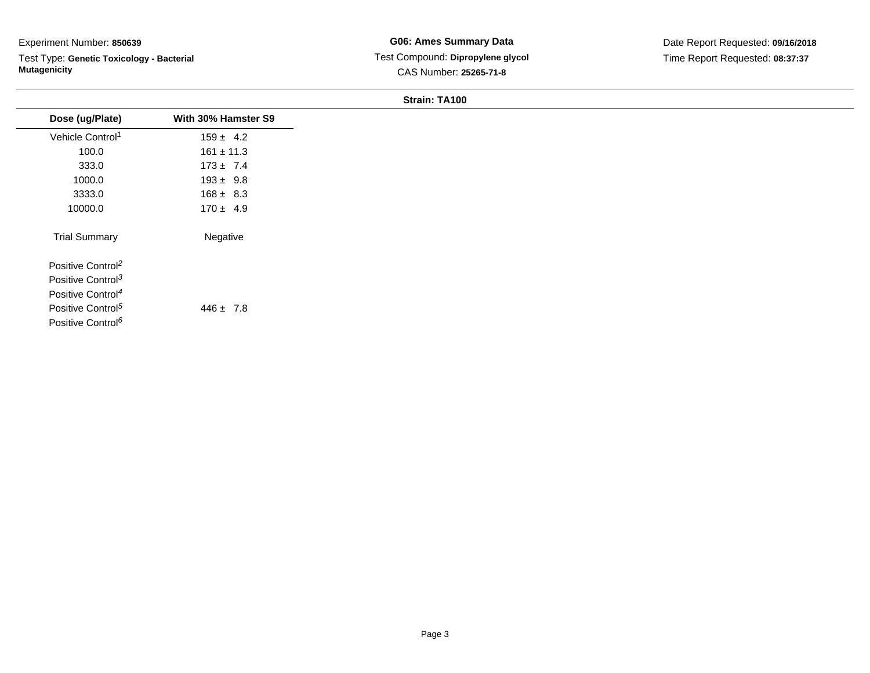Test Type: **Genetic Toxicology - Bacterial Mutagenicity**

**G06: Ames Summary Data** Test Compound: **Dipropylene glycol**CAS Number: **25265-71-8**

Date Report Requested: **09/16/2018**Time Report Requested: **08:37:37**

#### **Strain: TA100**

| Dose (ug/Plate)               | With 30% Hamster S9 |
|-------------------------------|---------------------|
| Vehicle Control <sup>1</sup>  | $159 \pm 4.2$       |
| 100.0                         | $161 \pm 11.3$      |
| 333.0                         | $173 \pm 7.4$       |
| 1000.0                        | $193 \pm 9.8$       |
| 3333.0                        | $168 \pm 8.3$       |
| 10000.0                       | $170 \pm 4.9$       |
| <b>Trial Summary</b>          | Negative            |
| Positive Control <sup>2</sup> |                     |
| Positive Control <sup>3</sup> |                     |
| Positive Control <sup>4</sup> |                     |
| Positive Control <sup>5</sup> | $446 \pm 7.8$       |
| Positive Control <sup>6</sup> |                     |
|                               |                     |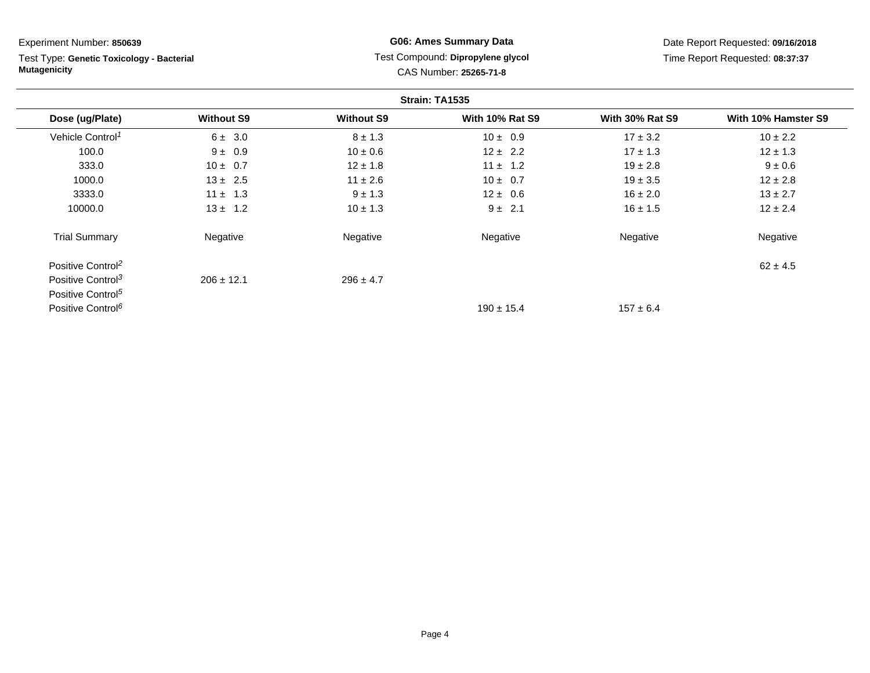| Experiment Number: 850639                                        |                   | <b>G06: Ames Summary Data</b>                               |                        | Date Report Requested: 09/16/2018 |                     |
|------------------------------------------------------------------|-------------------|-------------------------------------------------------------|------------------------|-----------------------------------|---------------------|
| Test Type: Genetic Toxicology - Bacterial<br><b>Mutagenicity</b> |                   | Test Compound: Dipropylene glycol<br>CAS Number: 25265-71-8 |                        | Time Report Requested: 08:37:37   |                     |
|                                                                  |                   |                                                             | Strain: TA1535         |                                   |                     |
| Dose (ug/Plate)                                                  | <b>Without S9</b> | <b>Without S9</b>                                           | <b>With 10% Rat S9</b> | <b>With 30% Rat S9</b>            | With 10% Hamster S9 |
| Vehicle Control <sup>1</sup>                                     | 6 ± 3.0           | $8 \pm 1.3$                                                 | $10 \pm 0.9$           | $17 \pm 3.2$                      | $10 \pm 2.2$        |
| 100.0                                                            | $9 \pm 0.9$       | $10 \pm 0.6$                                                | $12 \pm 2.2$           | $17 \pm 1.3$                      | $12 \pm 1.3$        |
| 333.0                                                            | $10 \pm 0.7$      | $12 \pm 1.8$                                                | $11 \pm 1.2$           | $19 \pm 2.8$                      | $9 \pm 0.6$         |
| 1000.0                                                           | $13 \pm 2.5$      | $11 \pm 2.6$                                                | $10 \pm 0.7$           | $19 \pm 3.5$                      | $12 \pm 2.8$        |
| 3333.0                                                           | $11 \pm 1.3$      | $9 \pm 1.3$                                                 | $12 \pm 0.6$           | $16 \pm 2.0$                      | $13 \pm 2.7$        |
| 10000.0                                                          | $13 \pm 1.2$      | $10 \pm 1.3$                                                | $9 \pm 2.1$            | $16 \pm 1.5$                      | $12 \pm 2.4$        |
| <b>Trial Summary</b>                                             | Negative          | Negative                                                    | Negative               | Negative                          | Negative            |
| Positive Control <sup>2</sup>                                    |                   |                                                             |                        |                                   | $62 \pm 4.5$        |
| Positive Control <sup>3</sup>                                    | $206 \pm 12.1$    | $296 \pm 4.7$                                               |                        |                                   |                     |
| Positive Control <sup>5</sup>                                    |                   |                                                             |                        |                                   |                     |
| Positive Control <sup>6</sup>                                    |                   |                                                             | $190 \pm 15.4$         | $157 \pm 6.4$                     |                     |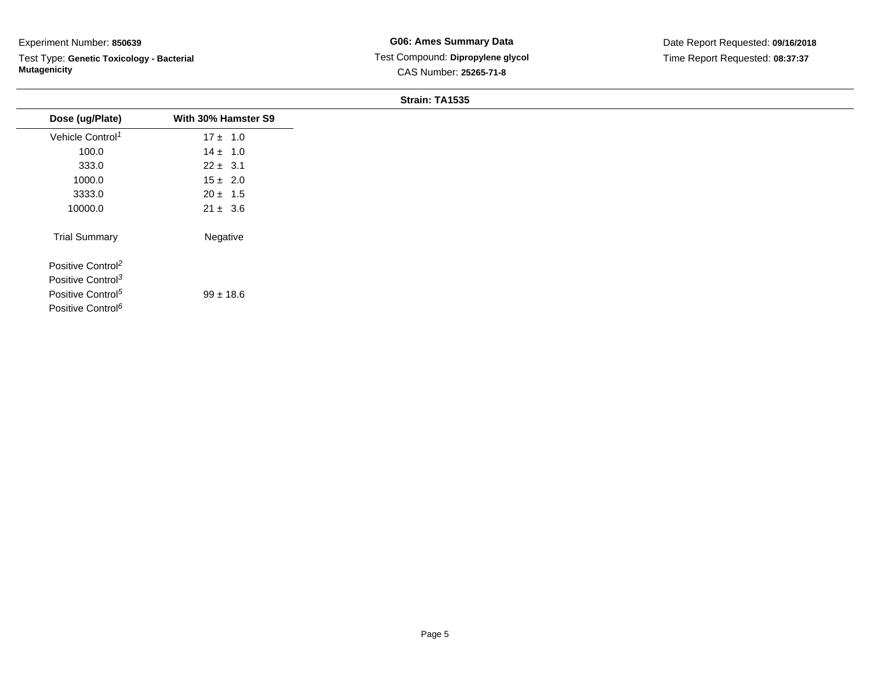Test Type: **Genetic Toxicology - Bacterial Mutagenicity**

**G06: Ames Summary Data** Test Compound: **Dipropylene glycol**CAS Number: **25265-71-8**

#### **Strain: TA1535**

| Dose (ug/Plate)               | With 30% Hamster S9 |
|-------------------------------|---------------------|
| Vehicle Control <sup>1</sup>  | $17 \pm 1.0$        |
| 100.0                         | $14 \pm 1.0$        |
| 333.0                         | $22 \pm 3.1$        |
| 1000.0                        | $15 \pm 2.0$        |
| 3333.0                        | $20 \pm 1.5$        |
| 10000.0                       | $21 \pm 3.6$        |
| <b>Trial Summary</b>          | Negative            |
| Positive Control <sup>2</sup> |                     |
| Positive Control <sup>3</sup> |                     |
| Positive Control <sup>5</sup> | $99 \pm 18.6$       |
| Positive Control <sup>6</sup> |                     |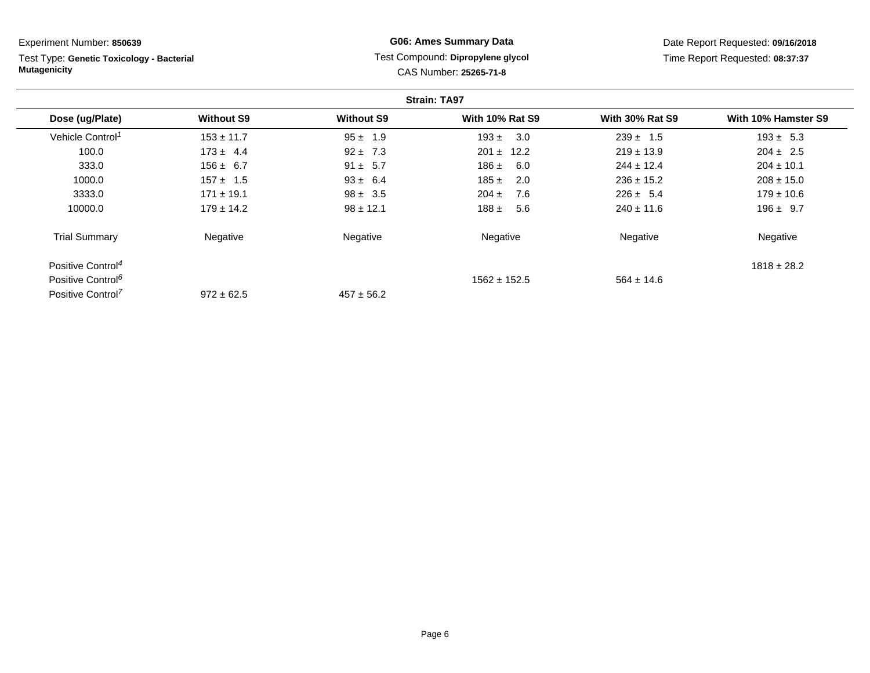**Strain: TA97Dose (ug/Plate) Without S9 Without S9 With 10% Rat S9 With 30% Rat S9 With 10% Hamster S9** Vehicle Control<sup>1</sup>  $153 \pm 11.7$  $7$  95 ± 1.9 193 ± 3.0 239 ± 1.5 193 ± 5.3 100.00 173 ± 4.4 32 ± 7.3 201 ± 12.2 219 ± 13.9 204 ± 2.5 333.00 156 ± 6.7 5 91 ± 5.7 186 ± 6.0 244 ± 12.4 204 ± 10.1 1000.00 157 ± 1.5  $93 \pm 6.4$  185 ± 2.0  $236 \pm 15.2$  208 ± 15.0 3333.00 171 ± 19.1 98 ± 3.5 204 ± 7.6 226 ± 5.4 179 ± 10.6 10000.00 179 ± 14.2  $98 \pm 12.1$  188  $\pm$  5.6 240  $\pm$  11.6 196  $\pm$  9.7 Trial Summary Negativee **Negative Regative** Negative Negative Negative Regative Negative Positive Control<sup>4</sup> $^{4}$   $^{4}$   $^{4}$   $^{4}$   $^{4}$   $^{4}$   $^{4}$   $^{4}$   $^{4}$   $^{4}$   $^{4}$   $^{4}$   $^{4}$   $^{4}$   $^{4}$   $^{4}$   $^{4}$   $^{4}$   $^{4}$   $^{4}$   $^{4}$   $^{4}$   $^{4}$   $^{4}$   $^{4}$   $^{4}$   $^{4}$   $^{4}$   $^{4}$   $^{4}$   $^{4}$   $^{4}$   $^{4}$   $^{4}$   $^{4}$   $^{4}$   $^{4}$ Positive Control<sup>6</sup>  $1562 \pm 152.5$  $564 \pm 14.6$ Positive Control<sup>7</sup>  $972 \pm 62.5$  $457 \pm 56.2$ Experiment Number: **850639**Test Type: **Genetic Toxicology - BacterialMutagenicityG06: Ames Summary Data** Test Compound: **Dipropylene glycol**CAS Number: **25265-71-8**Date Report Requested: **09/16/2018**Time Report Requested: **08:37:37**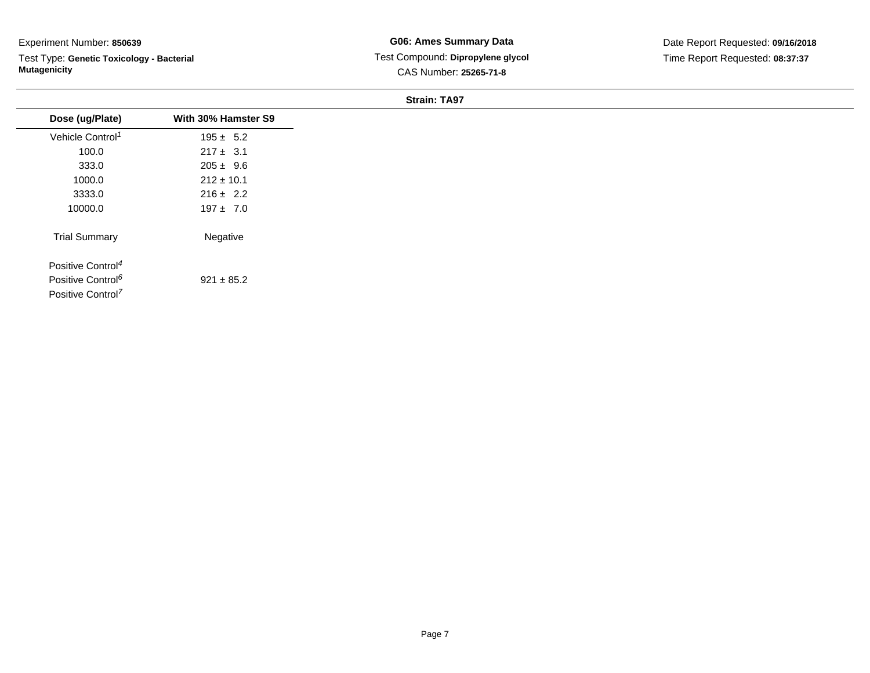Test Type: **Genetic Toxicology - Bacterial Mutagenicity**

**G06: Ames Summary Data** Test Compound: **Dipropylene glycol**CAS Number: **25265-71-8**

Date Report Requested: **09/16/2018**Time Report Requested: **08:37:37**

#### **Strain: TA97**

| Dose (ug/Plate)               | With 30% Hamster S9 |
|-------------------------------|---------------------|
| Vehicle Control <sup>1</sup>  | $195 \pm 5.2$       |
| 100.0                         | $217 \pm 3.1$       |
| 333.0                         | $205 \pm 9.6$       |
| 1000.0                        | $212 \pm 10.1$      |
| 3333.0                        | $216 \pm 2.2$       |
| 10000.0                       | $197 \pm 7.0$       |
| <b>Trial Summary</b>          | Negative            |
| Positive Control <sup>4</sup> |                     |
| Positive Control <sup>6</sup> | $921 \pm 85.2$      |
| Positive Control <sup>7</sup> |                     |
|                               |                     |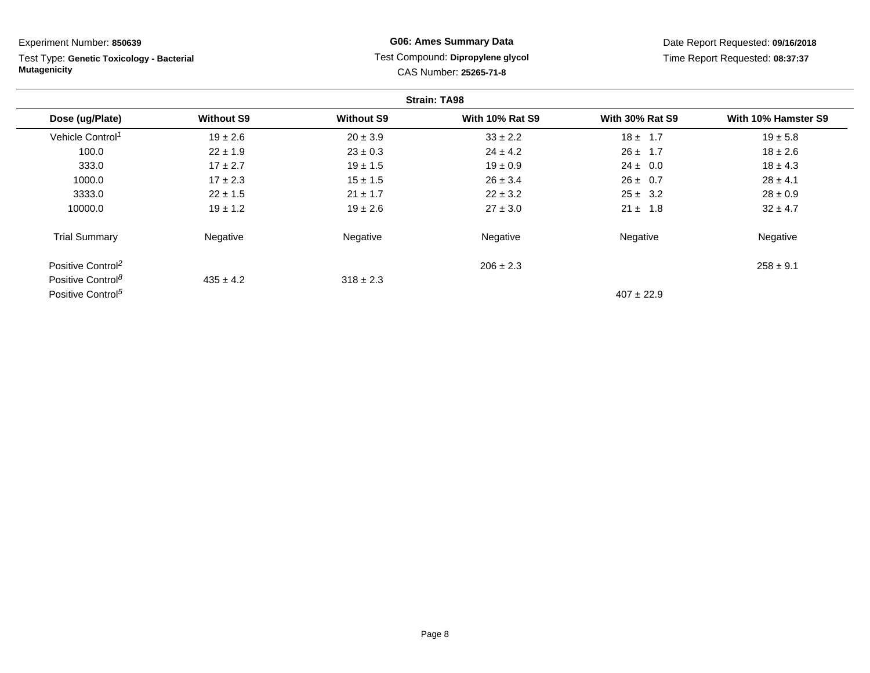| Experiment Number: 850639                                        |                   | <b>G06: Ames Summary Data</b> |                                                             | Date Report Requested: 09/16/2018 |                                 |
|------------------------------------------------------------------|-------------------|-------------------------------|-------------------------------------------------------------|-----------------------------------|---------------------------------|
| Test Type: Genetic Toxicology - Bacterial<br><b>Mutagenicity</b> |                   |                               | Test Compound: Dipropylene glycol<br>CAS Number: 25265-71-8 |                                   | Time Report Requested: 08:37:37 |
|                                                                  |                   |                               | <b>Strain: TA98</b>                                         |                                   |                                 |
| Dose (ug/Plate)                                                  | <b>Without S9</b> | <b>Without S9</b>             | <b>With 10% Rat S9</b>                                      | <b>With 30% Rat S9</b>            | With 10% Hamster S9             |
| Vehicle Control <sup>1</sup>                                     | $19 \pm 2.6$      | $20 \pm 3.9$                  | $33 \pm 2.2$                                                | $18 \pm 1.7$                      | $19 \pm 5.8$                    |
| 100.0                                                            | $22 \pm 1.9$      | $23 \pm 0.3$                  | $24 \pm 4.2$                                                | $26 \pm 1.7$                      | $18 \pm 2.6$                    |
| 333.0                                                            | $17 \pm 2.7$      | $19 \pm 1.5$                  | $19 \pm 0.9$                                                | $24 \pm 0.0$                      | $18 \pm 4.3$                    |
| 1000.0                                                           | $17 \pm 2.3$      | $15 \pm 1.5$                  | $26 \pm 3.4$                                                | $26 \pm 0.7$                      | $28 \pm 4.1$                    |
| 3333.0                                                           | $22 \pm 1.5$      | $21 \pm 1.7$                  | $22 \pm 3.2$                                                | $25 \pm 3.2$                      | $28 \pm 0.9$                    |
| 10000.0                                                          | $19 \pm 1.2$      | $19 \pm 2.6$                  | $27 \pm 3.0$                                                | $21 \pm 1.8$                      | $32 \pm 4.7$                    |
| <b>Trial Summary</b>                                             | Negative          | Negative                      | Negative                                                    | Negative                          | Negative                        |
| Positive Control <sup>2</sup>                                    |                   |                               | $206 \pm 2.3$                                               |                                   | $258 \pm 9.1$                   |
| Positive Control <sup>8</sup>                                    | $435 \pm 4.2$     | $318 \pm 2.3$                 |                                                             |                                   |                                 |
| Positive Control <sup>5</sup>                                    |                   |                               |                                                             | $407 \pm 22.9$                    |                                 |

Page 8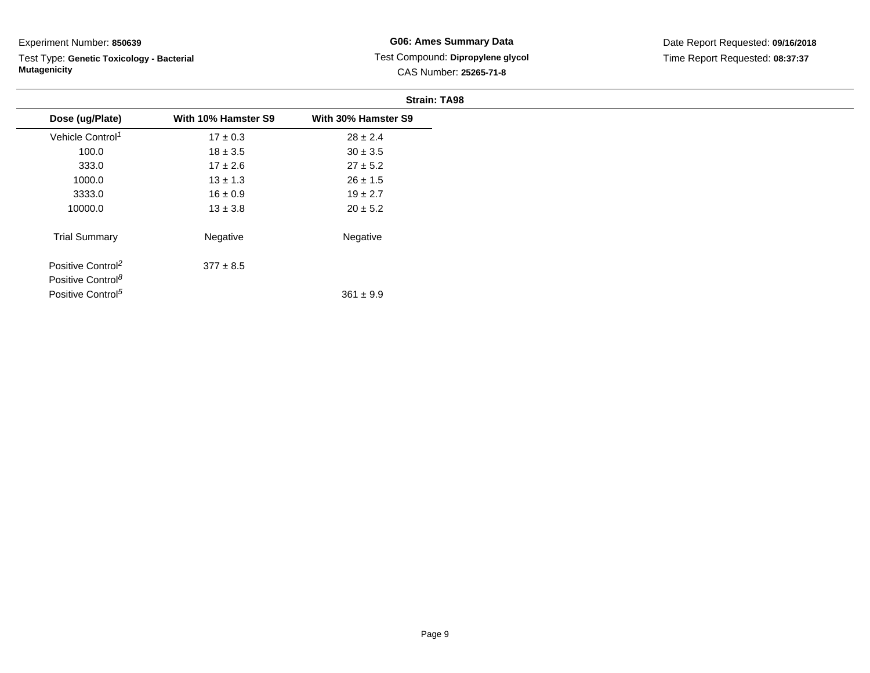Test Type: **Genetic Toxicology - Bacterial Mutagenicity**

# **G06: Ames Summary Data** Test Compound: **Dipropylene glycol**CAS Number: **25265-71-8**

|                               |                     | <b>Strain: TA98</b> |
|-------------------------------|---------------------|---------------------|
| Dose (ug/Plate)               | With 10% Hamster S9 | With 30% Hamster S9 |
| Vehicle Control <sup>1</sup>  | $17 \pm 0.3$        | $28 \pm 2.4$        |
| 100.0                         | $18 \pm 3.5$        | $30 \pm 3.5$        |
| 333.0                         | $17 \pm 2.6$        | $27 \pm 5.2$        |
| 1000.0                        | $13 \pm 1.3$        | $26 \pm 1.5$        |
| 3333.0                        | $16 \pm 0.9$        | $19 \pm 2.7$        |
| 10000.0                       | $13 \pm 3.8$        | $20 \pm 5.2$        |
| <b>Trial Summary</b>          | Negative            | Negative            |
| Positive Control <sup>2</sup> | $377 \pm 8.5$       |                     |
| Positive Control <sup>8</sup> |                     |                     |
| Positive Control <sup>5</sup> |                     | $361 \pm 9.9$       |